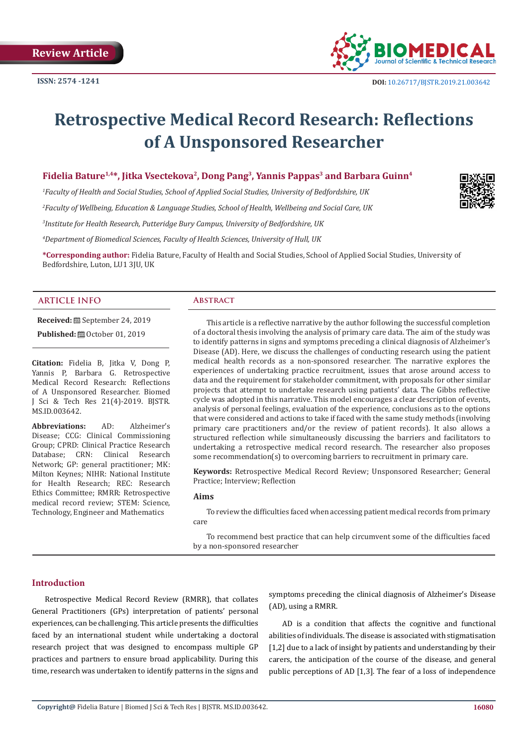

# **Retrospective Medical Record Research: Reflections of A Unsponsored Researcher**

## **Fidelia Bature1,4\*, Jitka Vsectekova2, Dong Pang<sup>3</sup>, Yannis Pappas<sup>3</sup> and Barbara Guinn<sup>4</sup>**

*1 Faculty of Health and Social Studies, School of Applied Social Studies, University of Bedfordshire, UK 2 Faculty of Wellbeing, Education & Language Studies, School of Health, Wellbeing and Social Care, UK 3 Institute for Health Research, Putteridge Bury Campus, University of Bedfordshire, UK*

*4 Department of Biomedical Sciences, Faculty of Health Sciences, University of Hull, UK*

**\*Corresponding author:** Fidelia Bature, Faculty of Health and Social Studies, School of Applied Social Studies, University of Bedfordshire, Luton, LU1 3JU, UK

#### **ARTICLE INFO Abstract**

**Received:** September 24, 2019

**Published:** ■ October 01, 2019

**Citation:** Fidelia B, Jitka V, Dong P, Yannis P, Barbara G. Retrospective Medical Record Research: Reflections of A Unsponsored Researcher. Biomed J Sci & Tech Res 21(4)-2019. BJSTR. MS.ID.003642.

**Abbreviations:** AD: Alzheimer's Disease; CCG: Clinical Commissioning Group; CPRD: Clinical Practice Research Database; CRN: Clinical Research Network; GP: general practitioner; MK: Milton Keynes; NIHR: National Institute for Health Research; REC: Research Ethics Committee; RMRR: Retrospective medical record review; STEM: Science, Technology, Engineer and Mathematics

This article is a reflective narrative by the author following the successful completion of a doctoral thesis involving the analysis of primary care data. The aim of the study was to identify patterns in signs and symptoms preceding a clinical diagnosis of Alzheimer's Disease (AD). Here, we discuss the challenges of conducting research using the patient medical health records as a non-sponsored researcher. The narrative explores the experiences of undertaking practice recruitment, issues that arose around access to data and the requirement for stakeholder commitment, with proposals for other similar projects that attempt to undertake research using patients' data. The Gibbs reflective cycle was adopted in this narrative. This model encourages a clear description of events, analysis of personal feelings, evaluation of the experience, conclusions as to the options that were considered and actions to take if faced with the same study methods (involving primary care practitioners and/or the review of patient records). It also allows a structured reflection while simultaneously discussing the barriers and facilitators to undertaking a retrospective medical record research. The researcher also proposes some recommendation(s) to overcoming barriers to recruitment in primary care.

**Keywords:** Retrospective Medical Record Review; Unsponsored Researcher; General Practice; Interview; Reflection

#### **Aims**

To review the difficulties faced when accessing patient medical records from primary care

To recommend best practice that can help circumvent some of the difficulties faced by a non-sponsored researcher

### **Introduction**

Retrospective Medical Record Review (RMRR), that collates General Practitioners (GPs) interpretation of patients' personal experiences, can be challenging. This article presents the difficulties faced by an international student while undertaking a doctoral research project that was designed to encompass multiple GP practices and partners to ensure broad applicability. During this time, research was undertaken to identify patterns in the signs and

symptoms preceding the clinical diagnosis of Alzheimer's Disease (AD), using a RMRR.

AD is a condition that affects the cognitive and functional abilities of individuals. The disease is associated with stigmatisation [1,2] due to a lack of insight by patients and understanding by their carers, the anticipation of the course of the disease, and general public perceptions of AD [1,3]. The fear of a loss of independence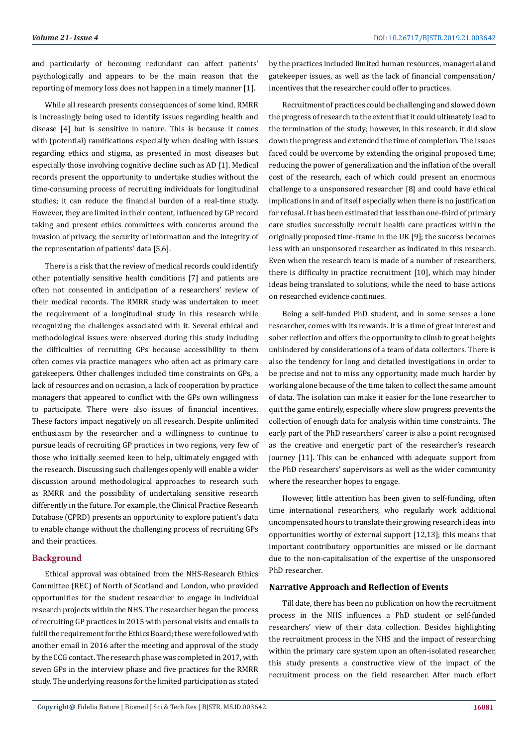and particularly of becoming redundant can affect patients' psychologically and appears to be the main reason that the reporting of memory loss does not happen in a timely manner [1].

While all research presents consequences of some kind, RMRR is increasingly being used to identify issues regarding health and disease [4] but is sensitive in nature. This is because it comes with (potential) ramifications especially when dealing with issues regarding ethics and stigma, as presented in most diseases but especially those involving cognitive decline such as AD [1]. Medical records present the opportunity to undertake studies without the time-consuming process of recruiting individuals for longitudinal studies; it can reduce the financial burden of a real-time study. However, they are limited in their content, influenced by GP record taking and present ethics committees with concerns around the invasion of privacy, the security of information and the integrity of the representation of patients' data [5,6].

There is a risk that the review of medical records could identify other potentially sensitive health conditions [7] and patients are often not consented in anticipation of a researchers' review of their medical records. The RMRR study was undertaken to meet the requirement of a longitudinal study in this research while recognizing the challenges associated with it. Several ethical and methodological issues were observed during this study including the difficulties of recruiting GPs because accessibility to them often comes via practice managers who often act as primary care gatekeepers. Other challenges included time constraints on GPs, a lack of resources and on occasion, a lack of cooperation by practice managers that appeared to conflict with the GPs own willingness to participate. There were also issues of financial incentives. These factors impact negatively on all research. Despite unlimited enthusiasm by the researcher and a willingness to continue to pursue leads of recruiting GP practices in two regions, very few of those who initially seemed keen to help, ultimately engaged with the research. Discussing such challenges openly will enable a wider discussion around methodological approaches to research such as RMRR and the possibility of undertaking sensitive research differently in the future. For example, the Clinical Practice Research Database (CPRD) presents an opportunity to explore patient's data to enable change without the challenging process of recruiting GPs and their practices.

### **Background**

Ethical approval was obtained from the NHS-Research Ethics Committee (REC) of North of Scotland and London, who provided opportunities for the student researcher to engage in individual research projects within the NHS. The researcher began the process of recruiting GP practices in 2015 with personal visits and emails to fulfil the requirement for the Ethics Board; these were followed with another email in 2016 after the meeting and approval of the study by the CCG contact. The research phase was completed in 2017, with seven GPs in the interview phase and five practices for the RMRR study. The underlying reasons for the limited participation as stated

by the practices included limited human resources, managerial and gatekeeper issues, as well as the lack of financial compensation/ incentives that the researcher could offer to practices.

Recruitment of practices could be challenging and slowed down the progress of research to the extent that it could ultimately lead to the termination of the study; however, in this research, it did slow down the progress and extended the time of completion. The issues faced could be overcome by extending the original proposed time; reducing the power of generalization and the inflation of the overall cost of the research, each of which could present an enormous challenge to a unsponsored researcher [8] and could have ethical implications in and of itself especially when there is no justification for refusal. It has been estimated that less than one-third of primary care studies successfully recruit health care practices within the originally proposed time-frame in the UK [9]; the success becomes less with an unsponsored researcher as indicated in this research. Even when the research team is made of a number of researchers, there is difficulty in practice recruitment [10], which may hinder ideas being translated to solutions, while the need to base actions on researched evidence continues.

Being a self-funded PhD student, and in some senses a lone researcher, comes with its rewards. It is a time of great interest and sober reflection and offers the opportunity to climb to great heights unhindered by considerations of a team of data collectors. There is also the tendency for long and detailed investigations in order to be precise and not to miss any opportunity, made much harder by working alone because of the time taken to collect the same amount of data. The isolation can make it easier for the lone researcher to quit the game entirely, especially where slow progress prevents the collection of enough data for analysis within time constraints. The early part of the PhD researchers' career is also a point recognised as the creative and energetic part of the researcher's research journey [11]. This can be enhanced with adequate support from the PhD researchers' supervisors as well as the wider community where the researcher hopes to engage.

However, little attention has been given to self-funding, often time international researchers, who regularly work additional uncompensated hours to translate their growing research ideas into opportunities worthy of external support [12,13]; this means that important contributory opportunities are missed or lie dormant due to the non-capitalisation of the expertise of the unsponsored PhD researcher.

#### **Narrative Approach and Reflection of Events**

Till date, there has been no publication on how the recruitment process in the NHS influences a PhD student or self-funded researchers' view of their data collection. Besides highlighting the recruitment process in the NHS and the impact of researching within the primary care system upon an often-isolated researcher, this study presents a constructive view of the impact of the recruitment process on the field researcher. After much effort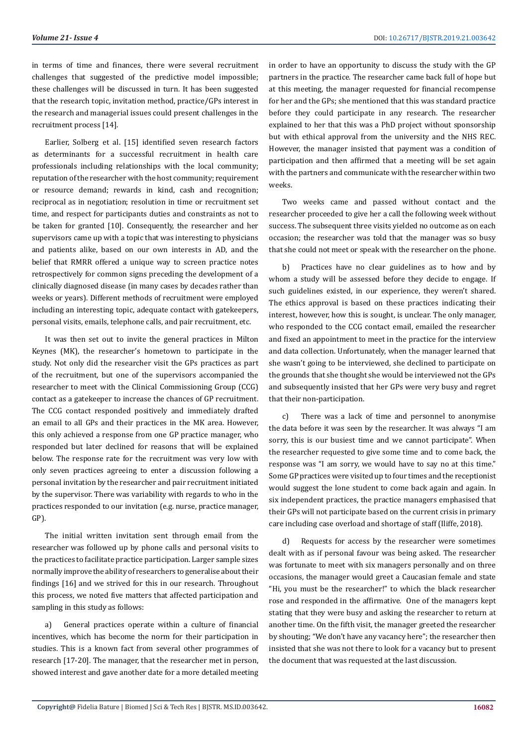in terms of time and finances, there were several recruitment challenges that suggested of the predictive model impossible; these challenges will be discussed in turn. It has been suggested that the research topic, invitation method, practice/GPs interest in the research and managerial issues could present challenges in the recruitment process [14].

Earlier, Solberg et al. [15] identified seven research factors as determinants for a successful recruitment in health care professionals including relationships with the local community; reputation of the researcher with the host community; requirement or resource demand; rewards in kind, cash and recognition; reciprocal as in negotiation; resolution in time or recruitment set time, and respect for participants duties and constraints as not to be taken for granted [10]. Consequently, the researcher and her supervisors came up with a topic that was interesting to physicians and patients alike, based on our own interests in AD, and the belief that RMRR offered a unique way to screen practice notes retrospectively for common signs preceding the development of a clinically diagnosed disease (in many cases by decades rather than weeks or years). Different methods of recruitment were employed including an interesting topic, adequate contact with gatekeepers, personal visits, emails, telephone calls, and pair recruitment, etc.

It was then set out to invite the general practices in Milton Keynes (MK), the researcher's hometown to participate in the study. Not only did the researcher visit the GPs practices as part of the recruitment, but one of the supervisors accompanied the researcher to meet with the Clinical Commissioning Group (CCG) contact as a gatekeeper to increase the chances of GP recruitment. The CCG contact responded positively and immediately drafted an email to all GPs and their practices in the MK area. However, this only achieved a response from one GP practice manager, who responded but later declined for reasons that will be explained below. The response rate for the recruitment was very low with only seven practices agreeing to enter a discussion following a personal invitation by the researcher and pair recruitment initiated by the supervisor. There was variability with regards to who in the practices responded to our invitation (e.g. nurse, practice manager, GP).

The initial written invitation sent through email from the researcher was followed up by phone calls and personal visits to the practices to facilitate practice participation. Larger sample sizes normally improve the ability of researchers to generalise about their findings [16] and we strived for this in our research. Throughout this process, we noted five matters that affected participation and sampling in this study as follows:

a) General practices operate within a culture of financial incentives, which has become the norm for their participation in studies. This is a known fact from several other programmes of research [17-20]. The manager, that the researcher met in person, showed interest and gave another date for a more detailed meeting in order to have an opportunity to discuss the study with the GP partners in the practice. The researcher came back full of hope but at this meeting, the manager requested for financial recompense for her and the GPs; she mentioned that this was standard practice before they could participate in any research. The researcher explained to her that this was a PhD project without sponsorship but with ethical approval from the university and the NHS REC. However, the manager insisted that payment was a condition of participation and then affirmed that a meeting will be set again with the partners and communicate with the researcher within two weeks.

Two weeks came and passed without contact and the researcher proceeded to give her a call the following week without success. The subsequent three visits yielded no outcome as on each occasion; the researcher was told that the manager was so busy that she could not meet or speak with the researcher on the phone.

b) Practices have no clear guidelines as to how and by whom a study will be assessed before they decide to engage. If such guidelines existed, in our experience, they weren't shared. The ethics approval is based on these practices indicating their interest, however, how this is sought, is unclear. The only manager, who responded to the CCG contact email, emailed the researcher and fixed an appointment to meet in the practice for the interview and data collection. Unfortunately, when the manager learned that she wasn't going to be interviewed, she declined to participate on the grounds that she thought she would be interviewed not the GPs and subsequently insisted that her GPs were very busy and regret that their non-participation.

c) There was a lack of time and personnel to anonymise the data before it was seen by the researcher. It was always "I am sorry, this is our busiest time and we cannot participate". When the researcher requested to give some time and to come back, the response was "I am sorry, we would have to say no at this time." Some GP practices were visited up to four times and the receptionist would suggest the lone student to come back again and again. In six independent practices, the practice managers emphasised that their GPs will not participate based on the current crisis in primary care including case overload and shortage of staff (Iliffe, 2018).

d) Requests for access by the researcher were sometimes dealt with as if personal favour was being asked. The researcher was fortunate to meet with six managers personally and on three occasions, the manager would greet a Caucasian female and state "Hi, you must be the researcher!" to which the black researcher rose and responded in the affirmative. One of the managers kept stating that they were busy and asking the researcher to return at another time. On the fifth visit, the manager greeted the researcher by shouting; "We don't have any vacancy here"; the researcher then insisted that she was not there to look for a vacancy but to present the document that was requested at the last discussion.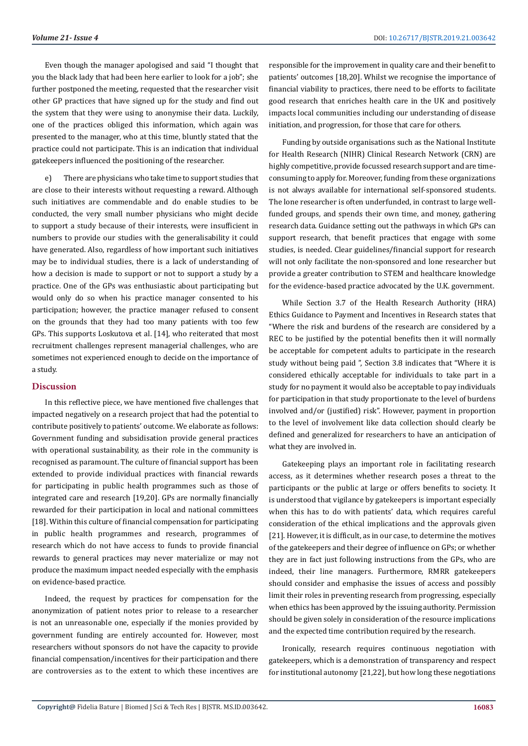Even though the manager apologised and said "I thought that you the black lady that had been here earlier to look for a job"; she further postponed the meeting, requested that the researcher visit other GP practices that have signed up for the study and find out the system that they were using to anonymise their data. Luckily, one of the practices obliged this information, which again was presented to the manager, who at this time, bluntly stated that the practice could not participate. This is an indication that individual gatekeepers influenced the positioning of the researcher.

e) There are physicians who take time to support studies that are close to their interests without requesting a reward. Although such initiatives are commendable and do enable studies to be conducted, the very small number physicians who might decide to support a study because of their interests, were insufficient in numbers to provide our studies with the generalisability it could have generated. Also, regardless of how important such initiatives may be to individual studies, there is a lack of understanding of how a decision is made to support or not to support a study by a practice. One of the GPs was enthusiastic about participating but would only do so when his practice manager consented to his participation; however, the practice manager refused to consent on the grounds that they had too many patients with too few GPs. This supports Loskutova et al. [14], who reiterated that most recruitment challenges represent managerial challenges, who are sometimes not experienced enough to decide on the importance of a study.

### **Discussion**

In this reflective piece, we have mentioned five challenges that impacted negatively on a research project that had the potential to contribute positively to patients' outcome. We elaborate as follows: Government funding and subsidisation provide general practices with operational sustainability, as their role in the community is recognised as paramount. The culture of financial support has been extended to provide individual practices with financial rewards for participating in public health programmes such as those of integrated care and research [19,20]. GPs are normally financially rewarded for their participation in local and national committees [18]. Within this culture of financial compensation for participating in public health programmes and research, programmes of research which do not have access to funds to provide financial rewards to general practices may never materialize or may not produce the maximum impact needed especially with the emphasis on evidence-based practice.

Indeed, the request by practices for compensation for the anonymization of patient notes prior to release to a researcher is not an unreasonable one, especially if the monies provided by government funding are entirely accounted for. However, most researchers without sponsors do not have the capacity to provide financial compensation/incentives for their participation and there are controversies as to the extent to which these incentives are

responsible for the improvement in quality care and their benefit to patients' outcomes [18,20]. Whilst we recognise the importance of financial viability to practices, there need to be efforts to facilitate good research that enriches health care in the UK and positively impacts local communities including our understanding of disease initiation, and progression, for those that care for others.

Funding by outside organisations such as the National Institute for Health Research (NIHR) Clinical Research Network (CRN) are highly competitive, provide focussed research support and are timeconsuming to apply for. Moreover, funding from these organizations is not always available for international self-sponsored students. The lone researcher is often underfunded, in contrast to large wellfunded groups, and spends their own time, and money, gathering research data. Guidance setting out the pathways in which GPs can support research, that benefit practices that engage with some studies, is needed. Clear guidelines/financial support for research will not only facilitate the non-sponsored and lone researcher but provide a greater contribution to STEM and healthcare knowledge for the evidence-based practice advocated by the U.K. government.

While Section 3.7 of the Health Research Authority (HRA) Ethics Guidance to Payment and Incentives in Research states that "Where the risk and burdens of the research are considered by a REC to be justified by the potential benefits then it will normally be acceptable for competent adults to participate in the research study without being paid ", Section 3.8 indicates that "Where it is considered ethically acceptable for individuals to take part in a study for no payment it would also be acceptable to pay individuals for participation in that study proportionate to the level of burdens involved and/or (justified) risk". However, payment in proportion to the level of involvement like data collection should clearly be defined and generalized for researchers to have an anticipation of what they are involved in.

Gatekeeping plays an important role in facilitating research access, as it determines whether research poses a threat to the participants or the public at large or offers benefits to society. It is understood that vigilance by gatekeepers is important especially when this has to do with patients' data, which requires careful consideration of the ethical implications and the approvals given [21]. However, it is difficult, as in our case, to determine the motives of the gatekeepers and their degree of influence on GPs; or whether they are in fact just following instructions from the GPs, who are indeed, their line managers. Furthermore, RMRR gatekeepers should consider and emphasise the issues of access and possibly limit their roles in preventing research from progressing, especially when ethics has been approved by the issuing authority. Permission should be given solely in consideration of the resource implications and the expected time contribution required by the research.

Ironically, research requires continuous negotiation with gatekeepers, which is a demonstration of transparency and respect for institutional autonomy [21,22], but how long these negotiations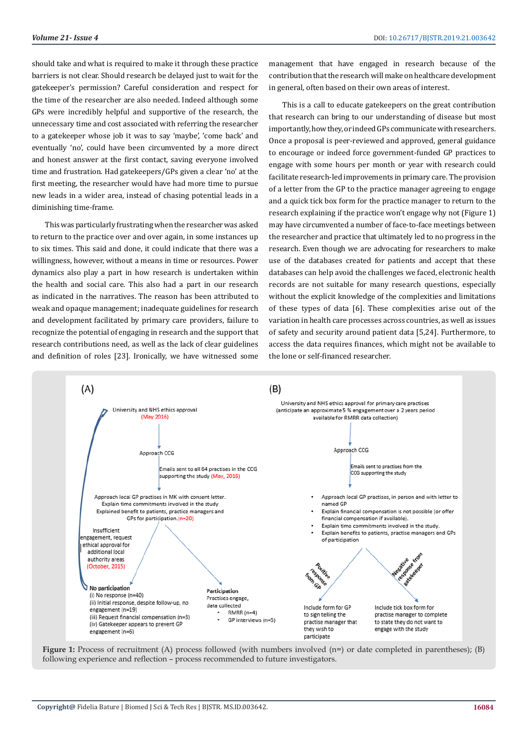should take and what is required to make it through these practice barriers is not clear. Should research be delayed just to wait for the gatekeeper's permission? Careful consideration and respect for the time of the researcher are also needed. Indeed although some GPs were incredibly helpful and supportive of the research, the unnecessary time and cost associated with referring the researcher to a gatekeeper whose job it was to say 'maybe', 'come back' and eventually 'no', could have been circumvented by a more direct and honest answer at the first contact, saving everyone involved time and frustration. Had gatekeepers/GPs given a clear 'no' at the first meeting, the researcher would have had more time to pursue new leads in a wider area, instead of chasing potential leads in a diminishing time-frame.

This was particularly frustrating when the researcher was asked to return to the practice over and over again, in some instances up to six times. This said and done, it could indicate that there was a willingness, however, without a means in time or resources. Power dynamics also play a part in how research is undertaken within the health and social care. This also had a part in our research as indicated in the narratives. The reason has been attributed to weak and opaque management; inadequate guidelines for research and development facilitated by primary care providers, failure to recognize the potential of engaging in research and the support that research contributions need, as well as the lack of clear guidelines and definition of roles [23]. Ironically, we have witnessed some

management that have engaged in research because of the contribution that the research will make on healthcare development in general, often based on their own areas of interest.

This is a call to educate gatekeepers on the great contribution that research can bring to our understanding of disease but most importantly, how they, or indeed GPs communicate with researchers. Once a proposal is peer-reviewed and approved, general guidance to encourage or indeed force government-funded GP practices to engage with some hours per month or year with research could facilitate research-led improvements in primary care. The provision of a letter from the GP to the practice manager agreeing to engage and a quick tick box form for the practice manager to return to the research explaining if the practice won't engage why not (Figure 1) may have circumvented a number of face-to-face meetings between the researcher and practice that ultimately led to no progress in the research. Even though we are advocating for researchers to make use of the databases created for patients and accept that these databases can help avoid the challenges we faced, electronic health records are not suitable for many research questions, especially without the explicit knowledge of the complexities and limitations of these types of data [6]. These complexities arise out of the variation in health care processes across countries, as well as issues of safety and security around patient data [5,24]. Furthermore, to access the data requires finances, which might not be available to the lone or self-financed researcher.



Figure 1: Process of recruitment (A) process followed (with numbers involved (n=) or date completed in parentheses); (B) following experience and reflection – process recommended to future investigators.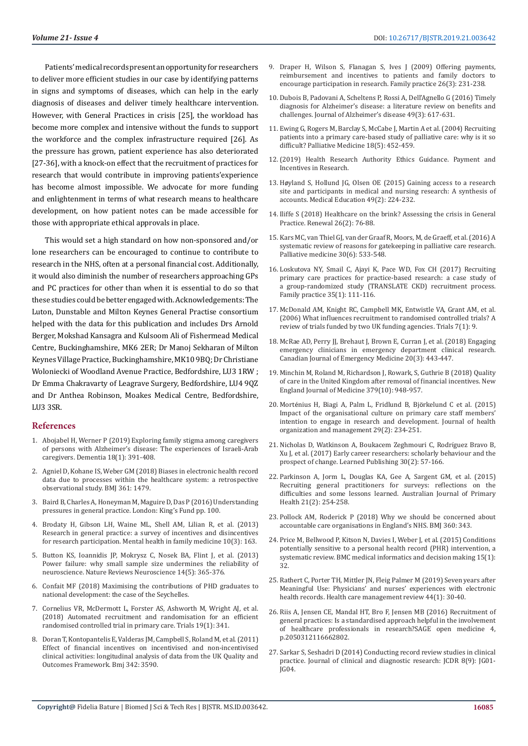Patients' medical records present an opportunity for researchers to deliver more efficient studies in our case by identifying patterns in signs and symptoms of diseases, which can help in the early diagnosis of diseases and deliver timely healthcare intervention. However, with General Practices in crisis [25], the workload has become more complex and intensive without the funds to support the workforce and the complex infrastructure required [26]. As the pressure has grown, patient experience has also deteriorated [27-36], with a knock-on effect that the recruitment of practices for research that would contribute in improving patients'experience has become almost impossible. We advocate for more funding and enlightenment in terms of what research means to healthcare development, on how patient notes can be made accessible for those with appropriate ethical approvals in place.

This would set a high standard on how non-sponsored and/or lone researchers can be encouraged to continue to contribute to research in the NHS, often at a personal financial cost. Additionally, it would also diminish the number of researchers approaching GPs and PC practices for other than when it is essential to do so that these studies could be better engaged with. Acknowledgements: The Luton, Dunstable and Milton Keynes General Practise consortium helped with the data for this publication and includes Drs Arnold Berger, Mokshad Kansagra and Kulsoom Ali of Fishermead Medical Centre, Buckinghamshire, MK6 2ER; Dr Manoj Sekharan of Milton Keynes Village Practice, Buckinghamshire, MK10 9BQ; Dr Christiane Woloniecki of Woodland Avenue Practice, Bedfordshire, LU3 1RW ; Dr Emma Chakravarty of Leagrave Surgery, Bedfordshire, LU4 9QZ and Dr Anthea Robinson, Moakes Medical Centre, Bedfordshire, LU3 3SR.

#### **References**

- 1. [Abojabel H, Werner P \(2019\) Exploring family stigma among caregivers](https://www.ncbi.nlm.nih.gov/pubmed/27885069)  [of persons with Alzheimer's disease: The experiences of Israeli-Arab](https://www.ncbi.nlm.nih.gov/pubmed/27885069)  [caregivers. Dementia 18\(1\): 391-408.](https://www.ncbi.nlm.nih.gov/pubmed/27885069)
- 2. [Agniel D, Kohane IS, Weber GM \(2018\) Biases in electronic health record](https://www.bmj.com/content/361/bmj.k1479)  [data due to processes within the healthcare system: a retrospective](https://www.bmj.com/content/361/bmj.k1479)  [observational study. BMJ 361: 1479.](https://www.bmj.com/content/361/bmj.k1479)
- 3. [Baird B, Charles A, Honeyman M, Maguire D, Das P \(2016\) Understanding](https://www.kingsfund.org.uk/sites/default/files/field/field_publication_file/Understanding-GP-pressures-Kings-Fund-May-2016.pdf)  [pressures in general practice. London: King's Fund pp. 100.](https://www.kingsfund.org.uk/sites/default/files/field/field_publication_file/Understanding-GP-pressures-Kings-Fund-May-2016.pdf)
- 4. [Brodaty H, Gibson LH, Waine ML, Shell AM, Lilian R, et al. \(2013\)](https://www.ncbi.nlm.nih.gov/pmc/articles/PMC3822664/)  [Research in general practice: a survey of incentives and disincentives](https://www.ncbi.nlm.nih.gov/pmc/articles/PMC3822664/)  [for research participation. Mental health in family medicine 10\(3\): 163.](https://www.ncbi.nlm.nih.gov/pmc/articles/PMC3822664/)
- 5. [Button KS, Ioannidis JP, Mokrysz C, Nosek BA, Flint J, et al. \(2013\)](https://www.nature.com/articles/nrn3475)  [Power failure: why small sample size undermines the reliability of](https://www.nature.com/articles/nrn3475)  [neuroscience. Nature Reviews Neuroscience 14\(5\): 365-376.](https://www.nature.com/articles/nrn3475)
- 6. [Confait MF \(2018\) Maximising the contributions of PHD graduates to](https://ro.ecu.edu.au/theses/2060/)  [national development: the case of the Seychelles.](https://ro.ecu.edu.au/theses/2060/)
- 7. [Cornelius VR, McDermott L, Forster AS, Ashworth M, Wright AJ, et al.](https://trialsjournal.biomedcentral.com/articles/10.1186/s13063-018-2723-3)  [\(2018\) Automated recruitment and randomisation for an efficient](https://trialsjournal.biomedcentral.com/articles/10.1186/s13063-018-2723-3)  [randomised controlled trial in primary care. Trials 19\(1\): 341.](https://trialsjournal.biomedcentral.com/articles/10.1186/s13063-018-2723-3)
- 8. [Doran T, Kontopantelis E, Valderas JM, Campbell S, Roland M, et al. \(2011\)](https://www.bmj.com/content/342/bmj.d3590)  [Effect of financial incentives on incentivised and non-incentivised](https://www.bmj.com/content/342/bmj.d3590)  [clinical activities: longitudinal analysis of data from the UK Quality and](https://www.bmj.com/content/342/bmj.d3590)  [Outcomes Framework. Bmj 342: 3590.](https://www.bmj.com/content/342/bmj.d3590)
- 9. [Draper H, Wilson S, Flanagan S, Ives J \(2009\) Offering payments,](https://www.ncbi.nlm.nih.gov/pubmed/19261621) [reimbursement and incentives to patients and family doctors to](https://www.ncbi.nlm.nih.gov/pubmed/19261621) [encourage participation in research. Family practice 26\(3\): 231-238.](https://www.ncbi.nlm.nih.gov/pubmed/19261621)
- 10. [Dubois B, Padovani A, Scheltens P, Rossi A, Dell'Agnello G \(2016\) Timely](https://www.ncbi.nlm.nih.gov/pubmed/26484931) [diagnosis for Alzheimer's disease: a literature review on benefits and](https://www.ncbi.nlm.nih.gov/pubmed/26484931) [challenges. Journal of Alzheimer's disease 49\(3\): 617-631.](https://www.ncbi.nlm.nih.gov/pubmed/26484931)
- 11. [Ewing G, Rogers M, Barclay S, McCabe J, Martin A et al. \(2004\) Recruiting](https://www.ncbi.nlm.nih.gov/pubmed/15332423) [patients into a primary care-based study of palliative care: why is it so](https://www.ncbi.nlm.nih.gov/pubmed/15332423) [difficult? Palliative Medicine 18\(5\): 452-459.](https://www.ncbi.nlm.nih.gov/pubmed/15332423)
- 12.[\(2019\) Health Research Authority Ethics Guidance. Payment and](https://www.hra.nhs.uk/documents/.../hra-guidance-payments-incentives-research.pdf) [Incentives in Research.](https://www.hra.nhs.uk/documents/.../hra-guidance-payments-incentives-research.pdf)
- 13. Hø[yland S, Hollund JG, Olsen OE \(2015\) Gaining access to a research](https://www.ncbi.nlm.nih.gov/pubmed/25626753) [site and participants in medical and nursing research: A synthesis of](https://www.ncbi.nlm.nih.gov/pubmed/25626753) [accounts. Medical Education 49\(2\): 224-232.](https://www.ncbi.nlm.nih.gov/pubmed/25626753)
- 14. [Iliffe S \(2018\) Healthcare on the brink? Assessing the crisis in General](https://go.gale.com/ps/anonymous?id=GALE%7CA551496467&sid=googleScholar&v=2.1&it=r&linkaccess=abs&issn=0968252X&p=LitRC&sw=w) [Practice. Renewal 26\(2\): 76-88.](https://go.gale.com/ps/anonymous?id=GALE%7CA551496467&sid=googleScholar&v=2.1&it=r&linkaccess=abs&issn=0968252X&p=LitRC&sw=w)
- 15. [Kars MC, van Thiel GJ, van der Graaf R, Moors, M, de Graeff, et al. \(2016\) A](https://www.ncbi.nlm.nih.gov/pubmed/26577927) [systematic review of reasons for gatekeeping in palliative care research.](https://www.ncbi.nlm.nih.gov/pubmed/26577927) [Palliative medicine 30\(6\): 533-548.](https://www.ncbi.nlm.nih.gov/pubmed/26577927)
- 16. [Loskutova NY, Smail C, Ajayi K, Pace WD, Fox CH \(2017\) Recruiting](https://www.ncbi.nlm.nih.gov/pubmed/28985294) [primary care practices for practice-based research: a case study of](https://www.ncbi.nlm.nih.gov/pubmed/28985294) [a group-randomized study \(TRANSLATE CKD\) recruitment process.](https://www.ncbi.nlm.nih.gov/pubmed/28985294) [Family practice 35\(1\): 111-116.](https://www.ncbi.nlm.nih.gov/pubmed/28985294)
- 17. [McDonald AM, Knight RC, Campbell MK, Entwistle VA, Grant AM, et al.](https://www.ncbi.nlm.nih.gov/pubmed/16603070) [\(2006\) What influences recruitment to randomised controlled trials? A](https://www.ncbi.nlm.nih.gov/pubmed/16603070) [review of trials funded by two UK funding agencies. Trials 7\(1\): 9.](https://www.ncbi.nlm.nih.gov/pubmed/16603070)
- 18. [McRae AD, Perry JJ, Brehaut J, Brown E, Curran J, et al. \(2018\) Engaging](https://www.ncbi.nlm.nih.gov/pubmed/29378670) [emergency clinicians in emergency department clinical research.](https://www.ncbi.nlm.nih.gov/pubmed/29378670) [Canadian Journal of Emergency Medicine 20\(3\): 443-447.](https://www.ncbi.nlm.nih.gov/pubmed/29378670)
- 19. [Minchin M, Roland M, Richardson J, Rowark, S, Guthrie B \(2018\) Quality](https://www.nejm.org/doi/full/10.1056/NEJMsa1801495) [of care in the United Kingdom after removal of financial incentives. New](https://www.nejm.org/doi/full/10.1056/NEJMsa1801495) [England Journal of Medicine 379\(10\): 948-957.](https://www.nejm.org/doi/full/10.1056/NEJMsa1801495)
- 20. Morté[nius H, Biagi A, Palm L, Fridlund B, Bj](https://www.ncbi.nlm.nih.gov/pubmed/25800335)örkelund C et al. (2015) [Impact of the organisational culture on primary care staff members'](https://www.ncbi.nlm.nih.gov/pubmed/25800335) [intention to engage in research and development. Journal of health](https://www.ncbi.nlm.nih.gov/pubmed/25800335) [organization and management 29\(2\): 234-251.](https://www.ncbi.nlm.nih.gov/pubmed/25800335)
- 21. [Nicholas D, Watkinson A, Boukacem Zeghmouri C, Rodr](https://onlinelibrary.wiley.com/doi/full/10.1002/leap.1098)íguez Bravo B, [Xu J, et al. \(2017\) Early career researchers: scholarly behaviour and the](https://onlinelibrary.wiley.com/doi/full/10.1002/leap.1098) [prospect of change. Learned Publishing 30\(2\): 57-166.](https://onlinelibrary.wiley.com/doi/full/10.1002/leap.1098)
- 22. [Parkinson A, Jorm L, Douglas KA, Gee A, Sargent GM, et al. \(2015\)](https://www.ncbi.nlm.nih.gov/pubmed/24581281) [Recruiting general practitioners for surveys: reflections on the](https://www.ncbi.nlm.nih.gov/pubmed/24581281) [difficulties and some lessons learned. Australian Journal of Primary](https://www.ncbi.nlm.nih.gov/pubmed/24581281) [Health 21\(2\): 254-258.](https://www.ncbi.nlm.nih.gov/pubmed/24581281)
- 23. [Pollock AM, Roderick P \(2018\) Why we should be concerned about](https://www.bmj.com/content/360/bmj.k343) [accountable care organisations in England's NHS. BMJ 360: 343.](https://www.bmj.com/content/360/bmj.k343)
- 24. [Price M, Bellwood P, Kitson N, Davies I, Weber J, et al. \(2015\) Conditions](https://www.ncbi.nlm.nih.gov/pubmed/25927384) [potentially sensitive to a personal health record \(PHR\) intervention, a](https://www.ncbi.nlm.nih.gov/pubmed/25927384) [systematic review. BMC medical informatics and decision making 15\(1\):](https://www.ncbi.nlm.nih.gov/pubmed/25927384) [32.](https://www.ncbi.nlm.nih.gov/pubmed/25927384)
- 25. [Rathert C, Porter TH, Mittler JN, Fleig Palmer M \(2019\) Seven years after](https://www.ncbi.nlm.nih.gov/pubmed/28614166) [Meaningful Use: Physicians' and nurses' experiences with electronic](https://www.ncbi.nlm.nih.gov/pubmed/28614166) [health records. Health care management review 44\(1\): 30-40.](https://www.ncbi.nlm.nih.gov/pubmed/28614166)
- 26. [Riis A, Jensen CE, Mandal HT, Bro F, Jensen MB \(2016\) Recruitment of](https://www.ncbi.nlm.nih.gov/pmc/articles/PMC4976791/) [general practices: Is a standardised approach helpful in the involvement](https://www.ncbi.nlm.nih.gov/pmc/articles/PMC4976791/) [of healthcare professionals in research?SAGE open medicine 4,](https://www.ncbi.nlm.nih.gov/pmc/articles/PMC4976791/) [p.2050312116662802.](https://www.ncbi.nlm.nih.gov/pmc/articles/PMC4976791/)
- 27. [Sarkar S, Seshadri D \(2014\) Conducting record review studies in clinical](https://www.ncbi.nlm.nih.gov/pmc/articles/PMC4225918/) [practice. Journal of clinical and diagnostic research: JCDR 8\(9\): JG01-](https://www.ncbi.nlm.nih.gov/pmc/articles/PMC4225918/) [JG04.](https://www.ncbi.nlm.nih.gov/pmc/articles/PMC4225918/)